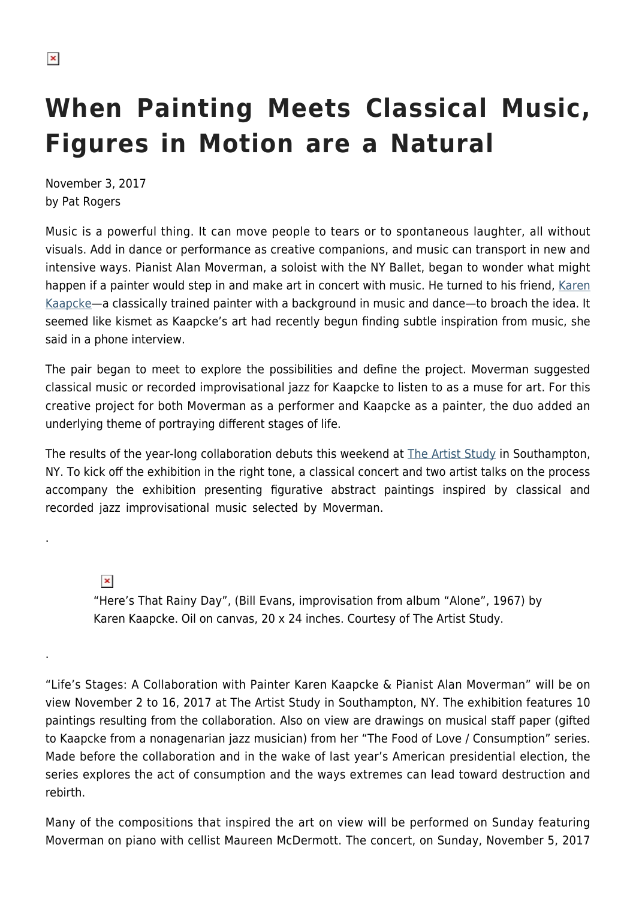.

.

## **When Painting Meets Classical Music, Figures in Motion are a Natural**

November 3, 2017 by Pat Rogers

Music is a powerful thing. It can move people to tears or to spontaneous laughter, all without visuals. Add in dance or performance as creative companions, and music can transport in new and intensive ways. Pianist Alan Moverman, a soloist with the NY Ballet, began to wonder what might happen if a painter would step in and make art in concert with music. He turned to his friend, [Karen](http://karenkaapcke.weebly.com/) [Kaapcke—](http://karenkaapcke.weebly.com/)a classically trained painter with a background in music and dance—to broach the idea. It seemed like kismet as Kaapcke's art had recently begun finding subtle inspiration from music, she said in a phone interview.

The pair began to meet to explore the possibilities and define the project. Moverman suggested classical music or recorded improvisational jazz for Kaapcke to listen to as a muse for art. For this creative project for both Moverman as a performer and Kaapcke as a painter, the duo added an underlying theme of portraying different stages of life.

The results of the year-long collaboration debuts this weekend at [The Artist Study](http://www.theartiststudy.com/) in Southampton, NY. To kick off the exhibition in the right tone, a classical concert and two artist talks on the process accompany the exhibition presenting figurative abstract paintings inspired by classical and recorded jazz improvisational music selected by Moverman.

 $\pmb{\times}$ "Here's That Rainy Day", (Bill Evans, improvisation from album "Alone", 1967) by Karen Kaapcke. Oil on canvas, 20 x 24 inches. Courtesy of The Artist Study.

"Life's Stages: A Collaboration with Painter Karen Kaapcke & Pianist Alan Moverman" will be on view November 2 to 16, 2017 at The Artist Study in Southampton, NY. The exhibition features 10 paintings resulting from the collaboration. Also on view are drawings on musical staff paper (gifted to Kaapcke from a nonagenarian jazz musician) from her "The Food of Love / Consumption" series. Made before the collaboration and in the wake of last year's American presidential election, the series explores the act of consumption and the ways extremes can lead toward destruction and rebirth.

Many of the compositions that inspired the art on view will be performed on Sunday featuring Moverman on piano with cellist Maureen McDermott. The concert, on Sunday, November 5, 2017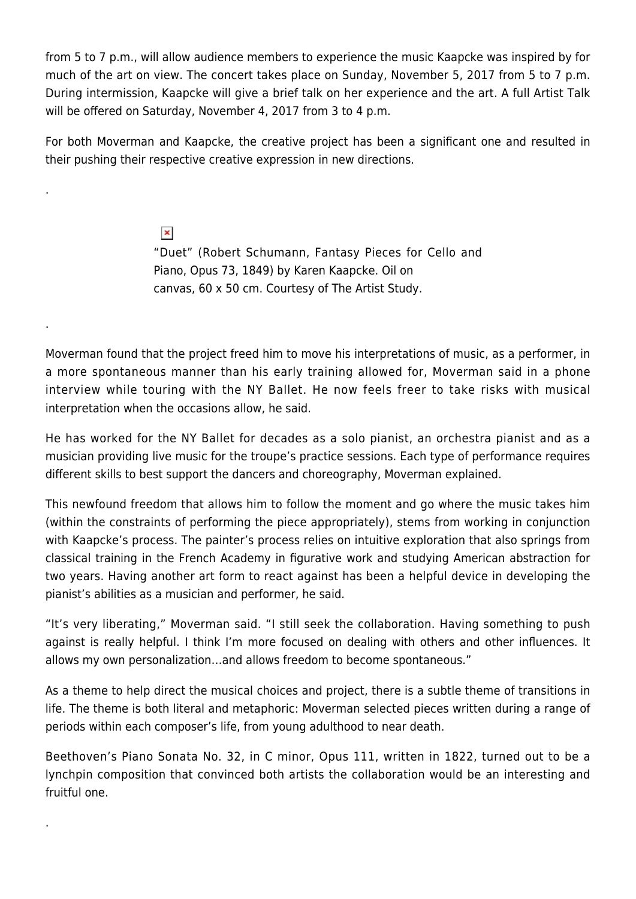from 5 to 7 p.m., will allow audience members to experience the music Kaapcke was inspired by for much of the art on view. The concert takes place on Sunday, November 5, 2017 from 5 to 7 p.m. During intermission, Kaapcke will give a brief talk on her experience and the art. A full Artist Talk will be offered on Saturday, November 4, 2017 from 3 to 4 p.m.

For both Moverman and Kaapcke, the creative project has been a significant one and resulted in their pushing their respective creative expression in new directions.

.

.

.

 $\pmb{\times}$ "Duet" (Robert Schumann, Fantasy Pieces for Cello and Piano, Opus 73, 1849) by Karen Kaapcke. Oil on canvas, 60 x 50 cm. Courtesy of The Artist Study.

Moverman found that the project freed him to move his interpretations of music, as a performer, in a more spontaneous manner than his early training allowed for, Moverman said in a phone interview while touring with the NY Ballet. He now feels freer to take risks with musical interpretation when the occasions allow, he said.

He has worked for the NY Ballet for decades as a solo pianist, an orchestra pianist and as a musician providing live music for the troupe's practice sessions. Each type of performance requires different skills to best support the dancers and choreography, Moverman explained.

This newfound freedom that allows him to follow the moment and go where the music takes him (within the constraints of performing the piece appropriately), stems from working in conjunction with Kaapcke's process. The painter's process relies on intuitive exploration that also springs from classical training in the French Academy in figurative work and studying American abstraction for two years. Having another art form to react against has been a helpful device in developing the pianist's abilities as a musician and performer, he said.

"It's very liberating," Moverman said. "I still seek the collaboration. Having something to push against is really helpful. I think I'm more focused on dealing with others and other influences. It allows my own personalization…and allows freedom to become spontaneous."

As a theme to help direct the musical choices and project, there is a subtle theme of transitions in life. The theme is both literal and metaphoric: Moverman selected pieces written during a range of periods within each composer's life, from young adulthood to near death.

Beethoven's Piano Sonata No. 32, in C minor, Opus 111, written in 1822, turned out to be a lynchpin composition that convinced both artists the collaboration would be an interesting and fruitful one.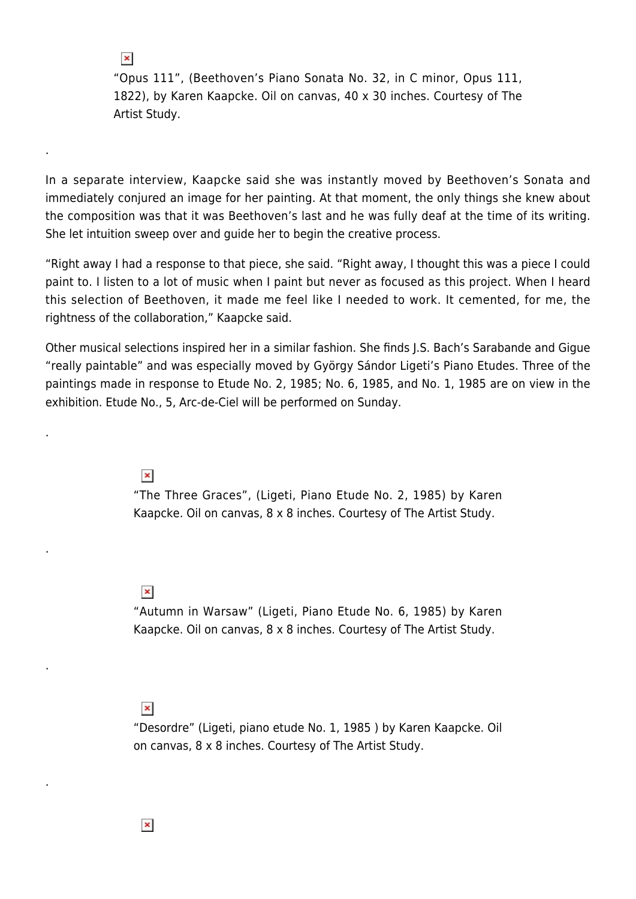"Opus 111", (Beethoven's Piano Sonata No. 32, in C minor, Opus 111, 1822), by Karen Kaapcke. Oil on canvas, 40 x 30 inches. Courtesy of The Artist Study.

In a separate interview, Kaapcke said she was instantly moved by Beethoven's Sonata and immediately conjured an image for her painting. At that moment, the only things she knew about the composition was that it was Beethoven's last and he was fully deaf at the time of its writing. She let intuition sweep over and guide her to begin the creative process.

"Right away I had a response to that piece, she said. "Right away, I thought this was a piece I could paint to. I listen to a lot of music when I paint but never as focused as this project. When I heard this selection of Beethoven, it made me feel like I needed to work. It cemented, for me, the rightness of the collaboration," Kaapcke said.

Other musical selections inspired her in a similar fashion. She finds J.S. Bach's Sarabande and Gigue "really paintable" and was especially moved by György Sándor Ligeti's Piano Etudes. Three of the paintings made in response to Etude No. 2, 1985; No. 6, 1985, and No. 1, 1985 are on view in the exhibition. Etude No., 5, Arc-de-Ciel will be performed on Sunday.

 $\pmb{\times}$ 

.

 $\pmb{\times}$ 

.

.

.

.

"The Three Graces", (Ligeti, Piano Etude No. 2, 1985) by Karen Kaapcke. Oil on canvas, 8 x 8 inches. Courtesy of The Artist Study.

 $\pmb{\times}$ 

"Autumn in Warsaw" (Ligeti, Piano Etude No. 6, 1985) by Karen Kaapcke. Oil on canvas, 8 x 8 inches. Courtesy of The Artist Study.

## $\pmb{\times}$

"Desordre" (Ligeti, piano etude No. 1, 1985 ) by Karen Kaapcke. Oil on canvas, 8 x 8 inches. Courtesy of The Artist Study.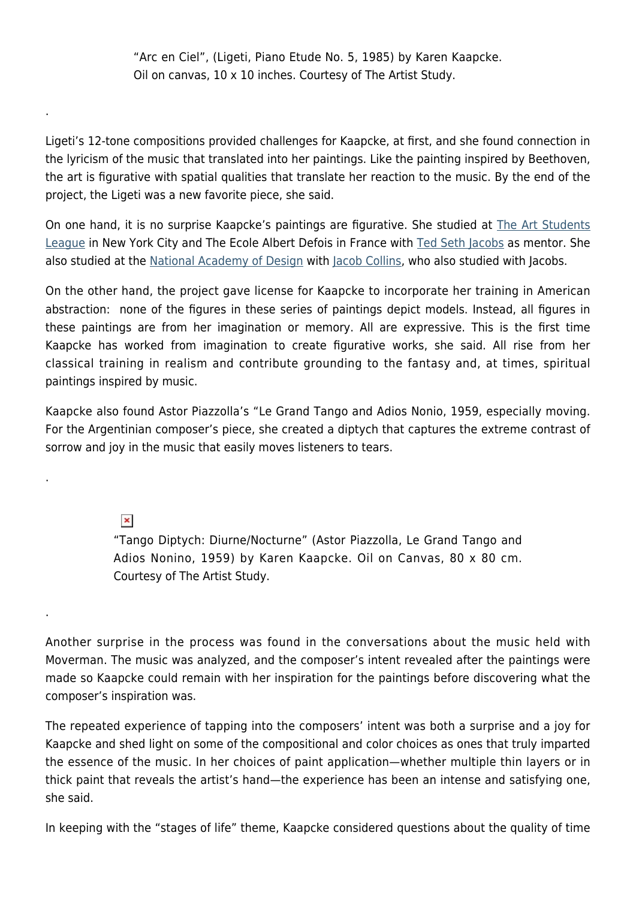"Arc en Ciel", (Ligeti, Piano Etude No. 5, 1985) by Karen Kaapcke. Oil on canvas, 10 x 10 inches. Courtesy of The Artist Study.

Ligeti's 12-tone compositions provided challenges for Kaapcke, at first, and she found connection in the lyricism of the music that translated into her paintings. Like the painting inspired by Beethoven, the art is figurative with spatial qualities that translate her reaction to the music. By the end of the project, the Ligeti was a new favorite piece, she said.

On one hand, it is no surprise Kaapcke's paintings are figurative. She studied at [The Art Students](http://www.theartstudentsleague.org/) [League](http://www.theartstudentsleague.org/) in New York City and The Ecole Albert Defois in France with [Ted Seth Jacobs](http://drawingwithted.com/ted-seth-jacobs/) as mentor. She also studied at the [National Academy of Design](http://www.nationalacademy.org/) with [Jacob Collins,](http://www.jacobcollinspaintings.com/) who also studied with Jacobs.

On the other hand, the project gave license for Kaapcke to incorporate her training in American abstraction: none of the figures in these series of paintings depict models. Instead, all figures in these paintings are from her imagination or memory. All are expressive. This is the first time Kaapcke has worked from imagination to create figurative works, she said. All rise from her classical training in realism and contribute grounding to the fantasy and, at times, spiritual paintings inspired by music.

Kaapcke also found Astor Piazzolla's "Le Grand Tango and Adios Nonio, 1959, especially moving. For the Argentinian composer's piece, she created a diptych that captures the extreme contrast of sorrow and joy in the music that easily moves listeners to tears.

 $\pmb{\times}$ 

.

.

.

"Tango Diptych: Diurne/Nocturne" (Astor Piazzolla, Le Grand Tango and Adios Nonino, 1959) by Karen Kaapcke. Oil on Canvas, 80 x 80 cm. Courtesy of The Artist Study.

Another surprise in the process was found in the conversations about the music held with Moverman. The music was analyzed, and the composer's intent revealed after the paintings were made so Kaapcke could remain with her inspiration for the paintings before discovering what the composer's inspiration was.

The repeated experience of tapping into the composers' intent was both a surprise and a joy for Kaapcke and shed light on some of the compositional and color choices as ones that truly imparted the essence of the music. In her choices of paint application—whether multiple thin layers or in thick paint that reveals the artist's hand—the experience has been an intense and satisfying one, she said.

In keeping with the "stages of life" theme, Kaapcke considered questions about the quality of time